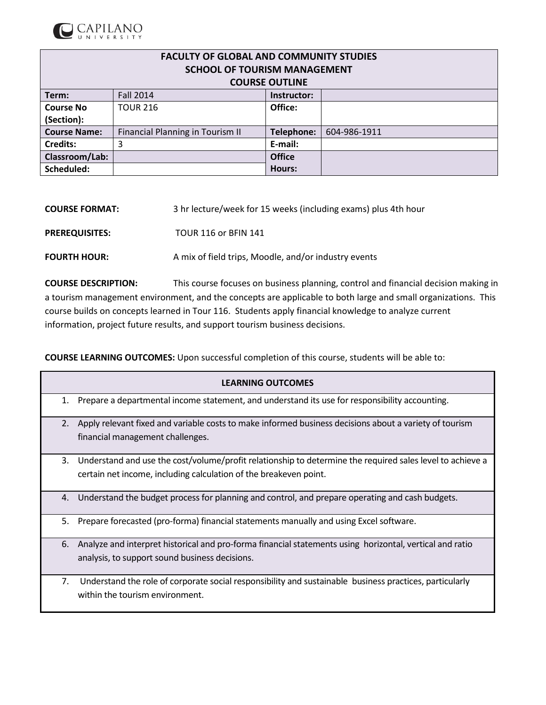

| <b>FACULTY OF GLOBAL AND COMMUNITY STUDIES</b> |                                  |                       |              |  |  |  |  |  |
|------------------------------------------------|----------------------------------|-----------------------|--------------|--|--|--|--|--|
| <b>SCHOOL OF TOURISM MANAGEMENT</b>            |                                  |                       |              |  |  |  |  |  |
|                                                |                                  | <b>COURSE OUTLINE</b> |              |  |  |  |  |  |
| Term:                                          | <b>Fall 2014</b><br>Instructor:  |                       |              |  |  |  |  |  |
| <b>Course No</b>                               | <b>TOUR 216</b>                  | Office:               |              |  |  |  |  |  |
| (Section):                                     |                                  |                       |              |  |  |  |  |  |
| <b>Course Name:</b>                            | Financial Planning in Tourism II | Telephone:            | 604-986-1911 |  |  |  |  |  |
| <b>Credits:</b>                                | 3                                | E-mail:               |              |  |  |  |  |  |
| Classroom/Lab:                                 |                                  | <b>Office</b>         |              |  |  |  |  |  |
| Scheduled:                                     |                                  | Hours:                |              |  |  |  |  |  |

| <b>COURSE FORMAT:</b> | 3 hr lecture/week for 15 weeks (including exams) plus 4th hour |
|-----------------------|----------------------------------------------------------------|
| <b>PREREQUISITES:</b> | <b>TOUR 116 or BFIN 141</b>                                    |
| <b>FOURTH HOUR:</b>   | A mix of field trips, Moodle, and/or industry events           |

**COURSE DESCRIPTION:** This course focuses on business planning, control and financial decision making in a tourism management environment, and the concepts are applicable to both large and small organizations. This course builds on concepts learned in Tour 116. Students apply financial knowledge to analyze current information, project future results, and support tourism business decisions.

**COURSE LEARNING OUTCOMES:** Upon successful completion of this course, students will be able to:

|    | <b>LEARNING OUTCOMES</b>                                                                                                                   |
|----|--------------------------------------------------------------------------------------------------------------------------------------------|
| 1. | Prepare a departmental income statement, and understand its use for responsibility accounting.                                             |
| 2. | Apply relevant fixed and variable costs to make informed business decisions about a variety of tourism<br>financial management challenges. |
|    |                                                                                                                                            |
| 3. | Understand and use the cost/volume/profit relationship to determine the required sales level to achieve a                                  |
|    | certain net income, including calculation of the breakeven point.                                                                          |
| 4. | Understand the budget process for planning and control, and prepare operating and cash budgets.                                            |
| 5. | Prepare forecasted (pro-forma) financial statements manually and using Excel software.                                                     |
| 6. | Analyze and interpret historical and pro-forma financial statements using horizontal, vertical and ratio                                   |
|    | analysis, to support sound business decisions.                                                                                             |
| 7. | Understand the role of corporate social responsibility and sustainable business practices, particularly                                    |
|    | within the tourism environment.                                                                                                            |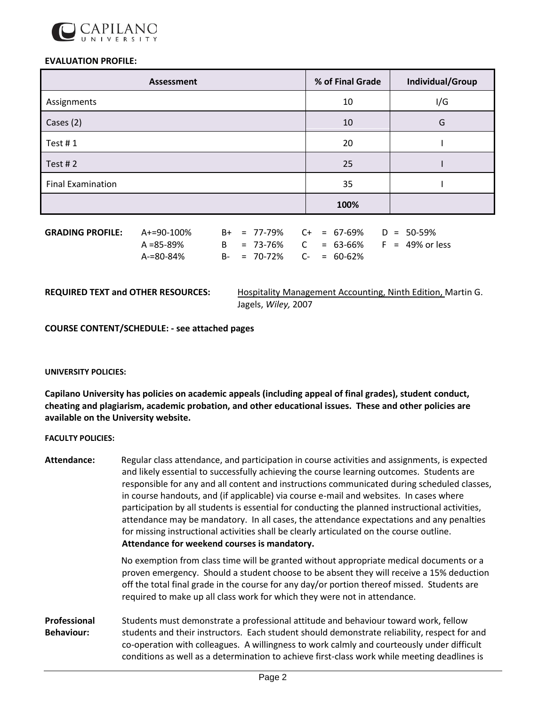

## **EVALUATION PROFILE:**

| <b>Assessment</b>        | % of Final Grade | Individual/Group |
|--------------------------|------------------|------------------|
| Assignments              | 10               | I/G              |
| Cases (2)                | 10               | G                |
| Test $# 1$               | 20               |                  |
| Test #2                  | 25               |                  |
| <b>Final Examination</b> | 35               |                  |
|                          | 100%             |                  |

| $GRADING PROFILE: A+=90-100\%$ |           |  | $B_{+}$ = 77-79% C+ = 67-69% D = 50-59% |  |  |                                       |
|--------------------------------|-----------|--|-----------------------------------------|--|--|---------------------------------------|
|                                | A =85-89% |  |                                         |  |  | B = 73-76% C = 63-66% F = 49% or less |
|                                | A-=80-84% |  | B- = 70-72% C- = 60-62%                 |  |  |                                       |

**REQUIRED TEXT and OTHER RESOURCES:** Hospitality Management Accounting, Ninth Edition, Martin G. Jagels, *Wiley,* 2007

**COURSE CONTENT/SCHEDULE: - see attached pages**

## **UNIVERSITY POLICIES:**

**Capilano University has policies on academic appeals (including appeal of final grades), student conduct, cheating and plagiarism, academic probation, and other educational issues. These and other policies are available on the University website.**

## **FACULTY POLICIES:**

| Attendance:                       | Regular class attendance, and participation in course activities and assignments, is expected<br>and likely essential to successfully achieving the course learning outcomes. Students are<br>responsible for any and all content and instructions communicated during scheduled classes,<br>in course handouts, and (if applicable) via course e-mail and websites. In cases where<br>participation by all students is essential for conducting the planned instructional activities,<br>attendance may be mandatory. In all cases, the attendance expectations and any penalties<br>for missing instructional activities shall be clearly articulated on the course outline.<br>Attendance for weekend courses is mandatory. |  |  |  |  |  |
|-----------------------------------|--------------------------------------------------------------------------------------------------------------------------------------------------------------------------------------------------------------------------------------------------------------------------------------------------------------------------------------------------------------------------------------------------------------------------------------------------------------------------------------------------------------------------------------------------------------------------------------------------------------------------------------------------------------------------------------------------------------------------------|--|--|--|--|--|
|                                   | No exemption from class time will be granted without appropriate medical documents or a<br>proven emergency. Should a student choose to be absent they will receive a 15% deduction<br>off the total final grade in the course for any day/or portion thereof missed. Students are<br>required to make up all class work for which they were not in attendance.                                                                                                                                                                                                                                                                                                                                                                |  |  |  |  |  |
| Professional<br><b>Behaviour:</b> | Students must demonstrate a professional attitude and behaviour toward work, fellow<br>students and their instructors. Each student should demonstrate reliability, respect for and<br>co-operation with colleagues. A willingness to work calmly and courteously under difficult<br>conditions as well as a determination to achieve first-class work while meeting deadlines is                                                                                                                                                                                                                                                                                                                                              |  |  |  |  |  |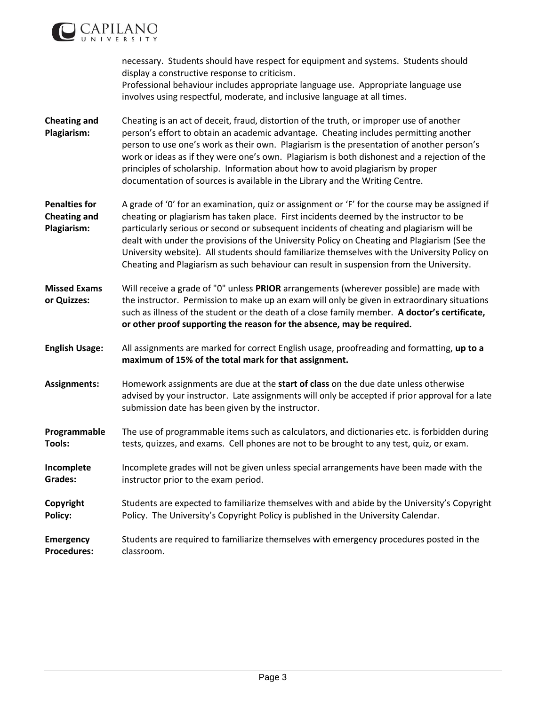

necessary. Students should have respect for equipment and systems. Students should display a constructive response to criticism. Professional behaviour includes appropriate language use. Appropriate language use involves using respectful, moderate, and inclusive language at all times. **Cheating and Plagiarism:** Cheating is an act of deceit, fraud, distortion of the truth, or improper use of another person's effort to obtain an academic advantage. Cheating includes permitting another person to use one's work as their own. Plagiarism is the presentation of another person's work or ideas as if they were one's own. Plagiarism is both dishonest and a rejection of the principles of scholarship. Information about how to avoid plagiarism by proper documentation of sources is available in the Library and the Writing Centre. **Penalties for Cheating and Plagiarism:** A grade of '0' for an examination, quiz or assignment or 'F' for the course may be assigned if cheating or plagiarism has taken place. First incidents deemed by the instructor to be particularly serious or second or subsequent incidents of cheating and plagiarism will be dealt with under the provisions of the University Policy on Cheating and Plagiarism (See the University website). All students should familiarize themselves with the University Policy on Cheating and Plagiarism as such behaviour can result in suspension from the University. **Missed Exams or Quizzes:** Will receive a grade of "0" unless **PRIOR** arrangements (wherever possible) are made with the instructor. Permission to make up an exam will only be given in extraordinary situations such as illness of the student or the death of a close family member. **A doctor's certificate, or other proof supporting the reason for the absence, may be required. English Usage:** All assignments are marked for correct English usage, proofreading and formatting, **up to a maximum of 15% of the total mark for that assignment. Assignments:** Homework assignments are due at the **start of class** on the due date unless otherwise advised by your instructor. Late assignments will only be accepted if prior approval for a late submission date has been given by the instructor. **Programmable Tools:** The use of programmable items such as calculators, and dictionaries etc. is forbidden during tests, quizzes, and exams. Cell phones are not to be brought to any test, quiz, or exam. **Incomplete Grades:** Incomplete grades will not be given unless special arrangements have been made with the instructor prior to the exam period. **Copyright Policy:**  Students are expected to familiarize themselves with and abide by the University's Copyright Policy. The University's Copyright Policy is published in the University Calendar. **Emergency Procedures:** Students are required to familiarize themselves with emergency procedures posted in the classroom.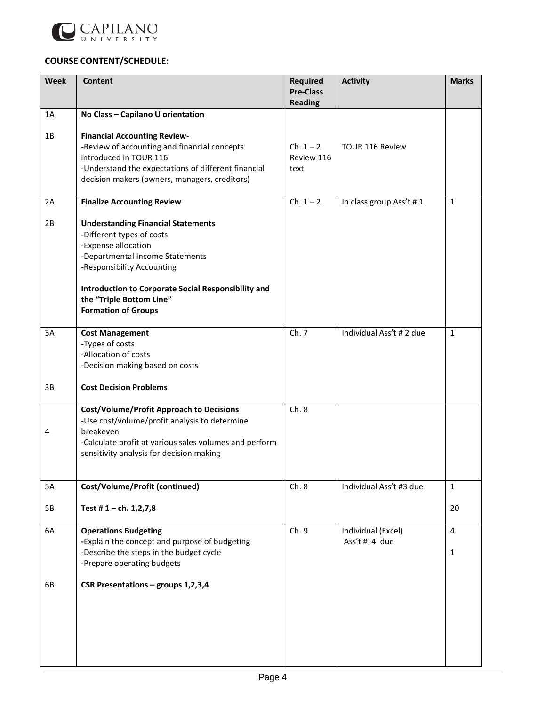

## **COURSE CONTENT/SCHEDULE:**

| <b>Week</b> | <b>Content</b>                                                                                   | <b>Required</b><br><b>Pre-Class</b><br><b>Reading</b> | <b>Activity</b>                     | <b>Marks</b>   |
|-------------|--------------------------------------------------------------------------------------------------|-------------------------------------------------------|-------------------------------------|----------------|
| 1A          | No Class - Capilano U orientation                                                                |                                                       |                                     |                |
|             |                                                                                                  |                                                       |                                     |                |
| 1B          | <b>Financial Accounting Review-</b>                                                              |                                                       |                                     |                |
|             | -Review of accounting and financial concepts                                                     | $Ch. 1 - 2$                                           | TOUR 116 Review                     |                |
|             | introduced in TOUR 116                                                                           | Review 116                                            |                                     |                |
|             | -Understand the expectations of different financial                                              | text                                                  |                                     |                |
|             | decision makers (owners, managers, creditors)                                                    |                                                       |                                     |                |
| 2A          | <b>Finalize Accounting Review</b>                                                                | $Ch. 1 - 2$                                           | In class group Ass't #1             | $\mathbf{1}$   |
|             |                                                                                                  |                                                       |                                     |                |
| 2B          | <b>Understanding Financial Statements</b><br>-Different types of costs                           |                                                       |                                     |                |
|             | -Expense allocation                                                                              |                                                       |                                     |                |
|             | -Departmental Income Statements                                                                  |                                                       |                                     |                |
|             | -Responsibility Accounting                                                                       |                                                       |                                     |                |
|             |                                                                                                  |                                                       |                                     |                |
|             | Introduction to Corporate Social Responsibility and                                              |                                                       |                                     |                |
|             | the "Triple Bottom Line"                                                                         |                                                       |                                     |                |
|             | <b>Formation of Groups</b>                                                                       |                                                       |                                     |                |
| 3A          | <b>Cost Management</b>                                                                           | Ch. 7                                                 | Individual Ass't # 2 due            | $\mathbf{1}$   |
|             | -Types of costs                                                                                  |                                                       |                                     |                |
|             | -Allocation of costs                                                                             |                                                       |                                     |                |
|             | -Decision making based on costs                                                                  |                                                       |                                     |                |
| 3B          | <b>Cost Decision Problems</b>                                                                    |                                                       |                                     |                |
|             |                                                                                                  | Ch.8                                                  |                                     |                |
|             | <b>Cost/Volume/Profit Approach to Decisions</b><br>-Use cost/volume/profit analysis to determine |                                                       |                                     |                |
| 4           | breakeven                                                                                        |                                                       |                                     |                |
|             | -Calculate profit at various sales volumes and perform                                           |                                                       |                                     |                |
|             | sensitivity analysis for decision making                                                         |                                                       |                                     |                |
|             |                                                                                                  |                                                       |                                     |                |
| 5A          | Cost/Volume/Profit (continued)                                                                   | Ch.8                                                  | Individual Ass't #3 due             | $\mathbf{1}$   |
|             |                                                                                                  |                                                       |                                     |                |
| 5B          | Test #1 - ch. $1,2,7,8$                                                                          |                                                       |                                     | 20             |
|             |                                                                                                  |                                                       |                                     |                |
| 6A          | <b>Operations Budgeting</b><br>-Explain the concept and purpose of budgeting                     | Ch. 9                                                 | Individual (Excel)<br>Ass't # 4 due | $\overline{4}$ |
|             | -Describe the steps in the budget cycle                                                          |                                                       |                                     | $\mathbf{1}$   |
|             | -Prepare operating budgets                                                                       |                                                       |                                     |                |
|             |                                                                                                  |                                                       |                                     |                |
| 6B          | CSR Presentations - groups 1,2,3,4                                                               |                                                       |                                     |                |
|             |                                                                                                  |                                                       |                                     |                |
|             |                                                                                                  |                                                       |                                     |                |
|             |                                                                                                  |                                                       |                                     |                |
|             |                                                                                                  |                                                       |                                     |                |
|             |                                                                                                  |                                                       |                                     |                |
|             |                                                                                                  |                                                       |                                     |                |